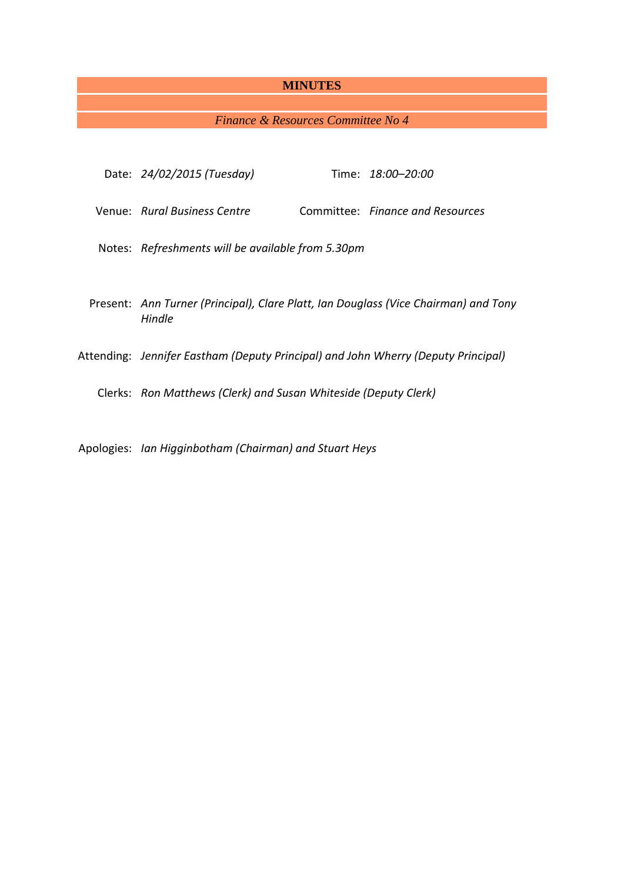# **MINUTES**

# *Finance & Resources Committee No 4*

| Date: 24/02/2015 (Tuesday)                                                                    |  | Time: 18:00–20:00                |  |  |  |
|-----------------------------------------------------------------------------------------------|--|----------------------------------|--|--|--|
| Venue: Rural Business Centre                                                                  |  | Committee: Finance and Resources |  |  |  |
| Notes: Refreshments will be available from 5.30pm                                             |  |                                  |  |  |  |
|                                                                                               |  |                                  |  |  |  |
| Present: Ann Turner (Principal), Clare Platt, Ian Douglass (Vice Chairman) and Tony<br>Hindle |  |                                  |  |  |  |
| Attending: Jennifer Eastham (Deputy Principal) and John Wherry (Deputy Principal)             |  |                                  |  |  |  |
| Clerks: Ron Matthews (Clerk) and Susan Whiteside (Deputy Clerk)                               |  |                                  |  |  |  |
|                                                                                               |  |                                  |  |  |  |

Apologies: *Ian Higginbotham (Chairman) and Stuart Heys*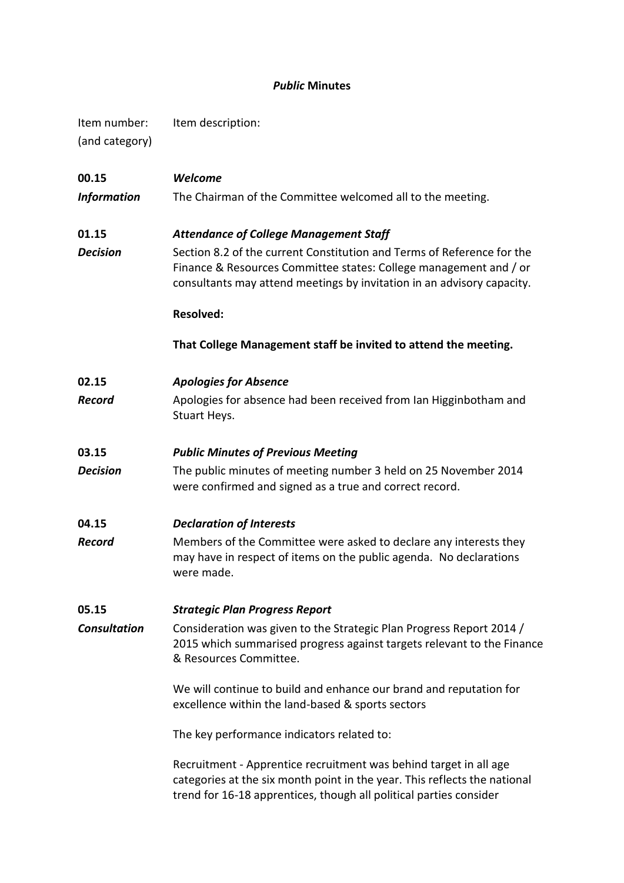# *Public* **Minutes**

| Item number:<br>(and category) | Item description:                                                                                                                                                                                                                                                                                                       |  |  |  |  |
|--------------------------------|-------------------------------------------------------------------------------------------------------------------------------------------------------------------------------------------------------------------------------------------------------------------------------------------------------------------------|--|--|--|--|
| 00.15<br><b>Information</b>    | Welcome<br>The Chairman of the Committee welcomed all to the meeting.                                                                                                                                                                                                                                                   |  |  |  |  |
| 01.15<br><b>Decision</b>       | <b>Attendance of College Management Staff</b><br>Section 8.2 of the current Constitution and Terms of Reference for the<br>Finance & Resources Committee states: College management and / or<br>consultants may attend meetings by invitation in an advisory capacity.<br><b>Resolved:</b>                              |  |  |  |  |
|                                | That College Management staff be invited to attend the meeting.                                                                                                                                                                                                                                                         |  |  |  |  |
| 02.15<br><b>Record</b>         | <b>Apologies for Absence</b><br>Apologies for absence had been received from Ian Higginbotham and<br>Stuart Heys.                                                                                                                                                                                                       |  |  |  |  |
| 03.15<br><b>Decision</b>       | <b>Public Minutes of Previous Meeting</b><br>The public minutes of meeting number 3 held on 25 November 2014<br>were confirmed and signed as a true and correct record.                                                                                                                                                 |  |  |  |  |
| 04.15<br><b>Record</b>         | <b>Declaration of Interests</b><br>Members of the Committee were asked to declare any interests they<br>may have in respect of items on the public agenda. No declarations<br>were made.                                                                                                                                |  |  |  |  |
| 05.15<br><b>Consultation</b>   | <b>Strategic Plan Progress Report</b><br>Consideration was given to the Strategic Plan Progress Report 2014 /<br>2015 which summarised progress against targets relevant to the Finance<br>& Resources Committee.<br>We will continue to build and enhance our brand and reputation for                                 |  |  |  |  |
|                                | excellence within the land-based & sports sectors<br>The key performance indicators related to:<br>Recruitment - Apprentice recruitment was behind target in all age<br>categories at the six month point in the year. This reflects the national<br>trend for 16-18 apprentices, though all political parties consider |  |  |  |  |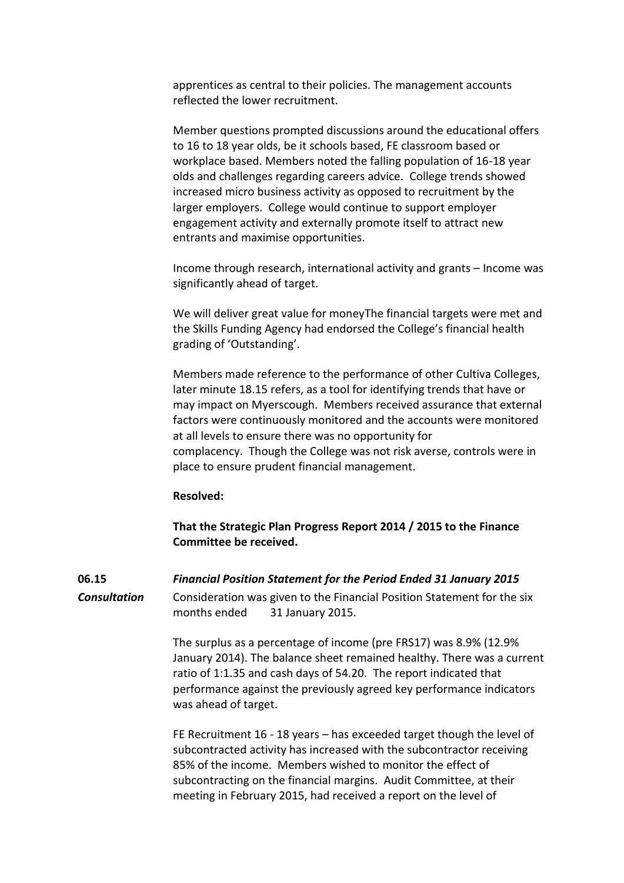apprentices as central to their policies. The management accounts reflected the lower recruitment.

Member questions prompted discussions around the educational offers to 16 to 18 year olds, be it schools based, FE classroom based or workplace based. Members noted the falling population of 16-18 year olds and challenges regarding careers advice. College trends showed increased micro business activity as opposed to recruitment by the larger employers. College would continue to support employer engagement activity and externally promote itself to attract new entrants and maximise opportunities.

Income through research, international activity and grants – Income was significantly ahead of target.

We will deliver great value for moneyThe financial targets were met and the Skills Funding Agency had endorsed the College's financial health grading of 'Outstanding'.

Members made reference to the performance of other Cultiva Colleges, later minute 18.15 refers, as a tool for identifying trends that have or may impact on Myerscough. Members received assurance that external factors were continuously monitored and the accounts were monitored at all levels to ensure there was no opportunity for complacency. Though the College was not risk averse, controls were in place to ensure prudent financial management.

## **Resolved:**

**That the Strategic Plan Progress Report 2014 / 2015 to the Finance Committee be received.**

**06.15** *Financial Position Statement for the Period Ended 31 January 2015* **Consultation** Consideration was given to the Financial Position Statement for the six months ended 31 January 2015.

> The surplus as a percentage of income (pre FRS17) was 8.9% (12.9% January 2014). The balance sheet remained healthy. There was a current ratio of 1:1.35 and cash days of 54.20. The report indicated that performance against the previously agreed key performance indicators was ahead of target.

FE Recruitment 16 - 18 years – has exceeded target though the level of subcontracted activity has increased with the subcontractor receiving 85% of the income. Members wished to monitor the effect of subcontracting on the financial margins. Audit Committee, at their meeting in February 2015, had received a report on the level of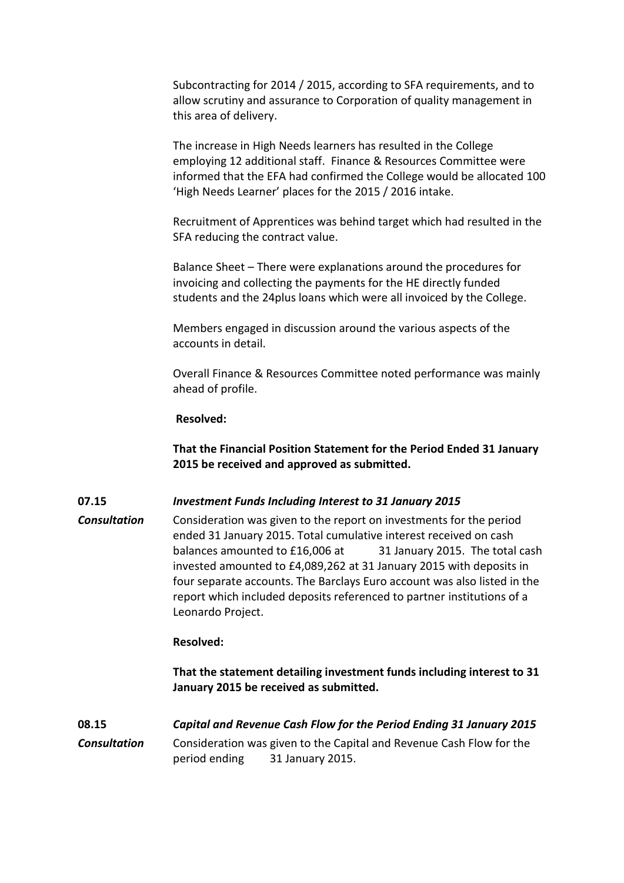Subcontracting for 2014 / 2015, according to SFA requirements, and to allow scrutiny and assurance to Corporation of quality management in this area of delivery.

The increase in High Needs learners has resulted in the College employing 12 additional staff. Finance & Resources Committee were informed that the EFA had confirmed the College would be allocated 100 'High Needs Learner' places for the 2015 / 2016 intake.

Recruitment of Apprentices was behind target which had resulted in the SFA reducing the contract value.

Balance Sheet – There were explanations around the procedures for invoicing and collecting the payments for the HE directly funded students and the 24plus loans which were all invoiced by the College.

Members engaged in discussion around the various aspects of the accounts in detail.

Overall Finance & Resources Committee noted performance was mainly ahead of profile.

## **Resolved:**

**That the Financial Position Statement for the Period Ended 31 January 2015 be received and approved as submitted.**

## **07.15** *Investment Funds Including Interest to 31 January 2015*

*Consultation* Consideration was given to the report on investments for the period ended 31 January 2015. Total cumulative interest received on cash balances amounted to £16,006 at 31 January 2015. The total cash invested amounted to £4,089,262 at 31 January 2015 with deposits in four separate accounts. The Barclays Euro account was also listed in the report which included deposits referenced to partner institutions of a Leonardo Project.

### **Resolved:**

**That the statement detailing investment funds including interest to 31 January 2015 be received as submitted.**

**08.15** *Capital and Revenue Cash Flow for the Period Ending 31 January 2015 Consultation* Consideration was given to the Capital and Revenue Cash Flow for the period ending 31 January 2015.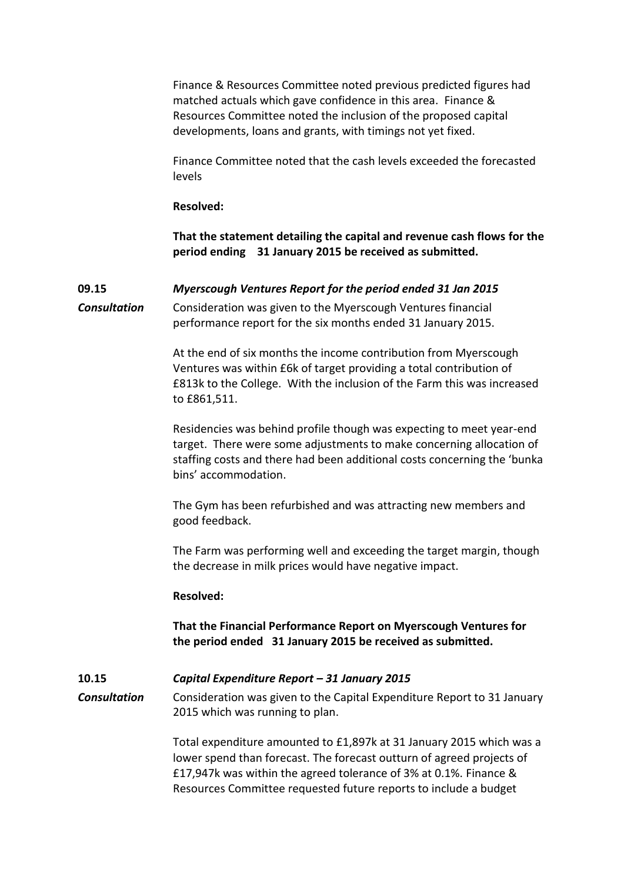Finance & Resources Committee noted previous predicted figures had matched actuals which gave confidence in this area. Finance & Resources Committee noted the inclusion of the proposed capital developments, loans and grants, with timings not yet fixed.

Finance Committee noted that the cash levels exceeded the forecasted levels

**Resolved:**

**That the statement detailing the capital and revenue cash flows for the period ending 31 January 2015 be received as submitted.**

# **09.15** *Myerscough Ventures Report for the period ended 31 Jan 2015*

*Consultation* Consideration was given to the Myerscough Ventures financial performance report for the six months ended 31 January 2015.

> At the end of six months the income contribution from Myerscough Ventures was within £6k of target providing a total contribution of £813k to the College. With the inclusion of the Farm this was increased to £861,511.

Residencies was behind profile though was expecting to meet year-end target. There were some adjustments to make concerning allocation of staffing costs and there had been additional costs concerning the 'bunka bins' accommodation.

The Gym has been refurbished and was attracting new members and good feedback.

The Farm was performing well and exceeding the target margin, though the decrease in milk prices would have negative impact.

# **Resolved:**

**That the Financial Performance Report on Myerscough Ventures for the period ended 31 January 2015 be received as submitted.**

# **10.15** *Capital Expenditure Report – 31 January 2015*

*Consultation* Consideration was given to the Capital Expenditure Report to 31 January 2015 which was running to plan.

> Total expenditure amounted to £1,897k at 31 January 2015 which was a lower spend than forecast. The forecast outturn of agreed projects of £17,947k was within the agreed tolerance of 3% at 0.1%. Finance & Resources Committee requested future reports to include a budget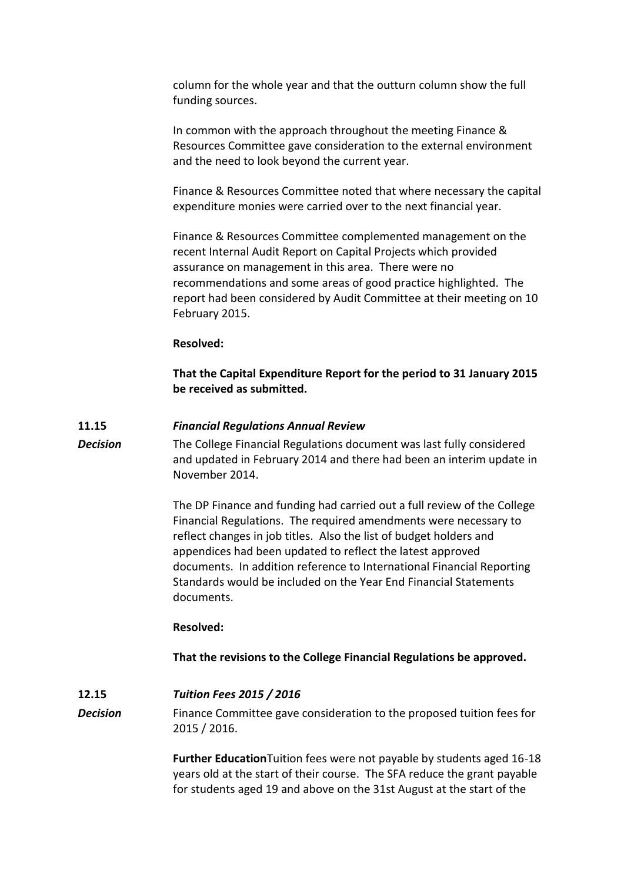column for the whole year and that the outturn column show the full funding sources.

In common with the approach throughout the meeting Finance & Resources Committee gave consideration to the external environment and the need to look beyond the current year.

Finance & Resources Committee noted that where necessary the capital expenditure monies were carried over to the next financial year.

Finance & Resources Committee complemented management on the recent Internal Audit Report on Capital Projects which provided assurance on management in this area. There were no recommendations and some areas of good practice highlighted. The report had been considered by Audit Committee at their meeting on 10 February 2015.

## **Resolved:**

**That the Capital Expenditure Report for the period to 31 January 2015 be received as submitted.**

## **11.15** *Financial Regulations Annual Review*

*Decision* The College Financial Regulations document was last fully considered and updated in February 2014 and there had been an interim update in November 2014.

> The DP Finance and funding had carried out a full review of the College Financial Regulations. The required amendments were necessary to reflect changes in job titles. Also the list of budget holders and appendices had been updated to reflect the latest approved documents. In addition reference to International Financial Reporting Standards would be included on the Year End Financial Statements documents.

#### **Resolved:**

**That the revisions to the College Financial Regulations be approved.**

**12.15** *Tuition Fees 2015 / 2016* **Decision** Finance Committee gave consideration to the proposed tuition fees for 2015 / 2016.

> **Further Education**Tuition fees were not payable by students aged 16-18 years old at the start of their course. The SFA reduce the grant payable for students aged 19 and above on the 31st August at the start of the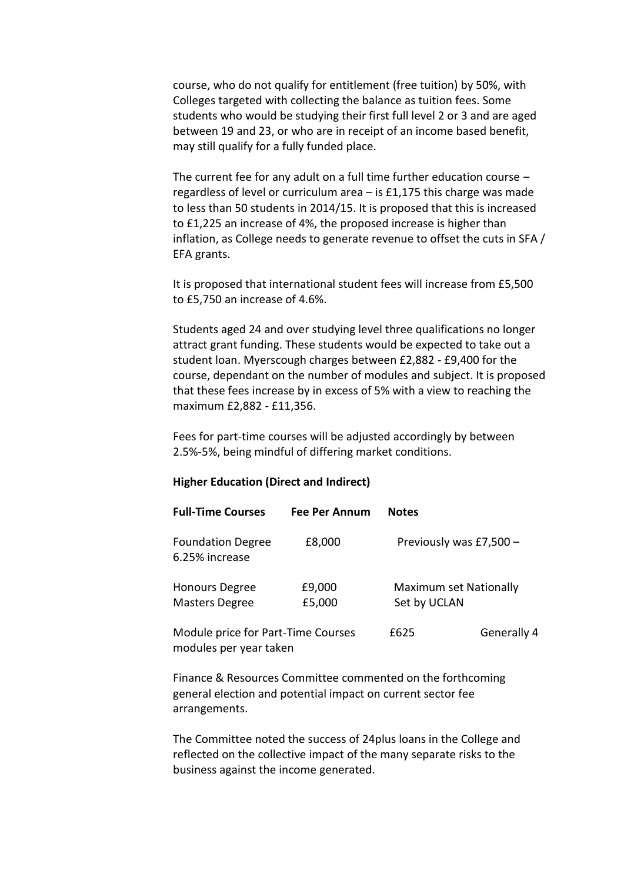course, who do not qualify for entitlement (free tuition) by 50%, with Colleges targeted with collecting the balance as tuition fees. Some students who would be studying their first full level 2 or 3 and are aged between 19 and 23, or who are in receipt of an income based benefit, may still qualify for a fully funded place.

The current fee for any adult on a full time further education course – regardless of level or curriculum area – is £1,175 this charge was made to less than 50 students in 2014/15. It is proposed that this is increased to £1,225 an increase of 4%, the proposed increase is higher than inflation, as College needs to generate revenue to offset the cuts in SFA / EFA grants.

It is proposed that international student fees will increase from £5,500 to £5,750 an increase of 4.6%.

Students aged 24 and over studying level three qualifications no longer attract grant funding. These students would be expected to take out a student loan. Myerscough charges between £2,882 - £9,400 for the course, dependant on the number of modules and subject. It is proposed that these fees increase by in excess of 5% with a view to reaching the maximum £2,882 - £11,356.

Fees for part-time courses will be adjusted accordingly by between 2.5%-5%, being mindful of differing market conditions.

## **Higher Education (Direct and Indirect)**

modules per year taken

| <b>Full-Time Courses</b>                       | Fee Per Annum    | <b>Notes</b>                           |                         |  |
|------------------------------------------------|------------------|----------------------------------------|-------------------------|--|
| <b>Foundation Degree</b><br>6.25% increase     | £8,000           |                                        | Previously was £7,500 - |  |
| <b>Honours Degree</b><br><b>Masters Degree</b> | £9,000<br>£5,000 | Maximum set Nationally<br>Set by UCLAN |                         |  |
| Module price for Part-Time Courses             |                  | f625                                   | Generally 4             |  |

Finance & Resources Committee commented on the forthcoming general election and potential impact on current sector fee arrangements.

The Committee noted the success of 24plus loans in the College and reflected on the collective impact of the many separate risks to the business against the income generated.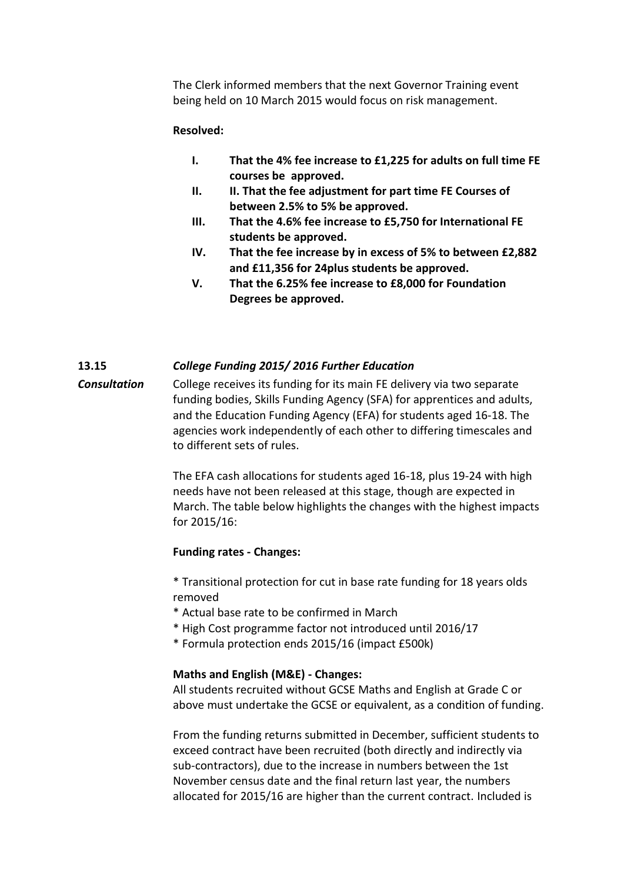The Clerk informed members that the next Governor Training event being held on 10 March 2015 would focus on risk management.

# **Resolved:**

- **I. That the 4% fee increase to £1,225 for adults on full time FE courses be approved.**
- **II. II. That the fee adjustment for part time FE Courses of between 2.5% to 5% be approved.**
- **III. That the 4.6% fee increase to £5,750 for International FE students be approved.**
- **IV. That the fee increase by in excess of 5% to between £2,882 and £11,356 for 24plus students be approved.**
- **V. That the 6.25% fee increase to £8,000 for Foundation Degrees be approved.**

## **13.15** *College Funding 2015/ 2016 Further Education*

*Consultation* College receives its funding for its main FE delivery via two separate funding bodies, Skills Funding Agency (SFA) for apprentices and adults, and the Education Funding Agency (EFA) for students aged 16-18. The agencies work independently of each other to differing timescales and to different sets of rules.

> The EFA cash allocations for students aged 16-18, plus 19-24 with high needs have not been released at this stage, though are expected in March. The table below highlights the changes with the highest impacts for 2015/16:

## **Funding rates - Changes:**

\* Transitional protection for cut in base rate funding for 18 years olds removed

- \* Actual base rate to be confirmed in March
- \* High Cost programme factor not introduced until 2016/17
- \* Formula protection ends 2015/16 (impact £500k)

# **Maths and English (M&E) - Changes:**

All students recruited without GCSE Maths and English at Grade C or above must undertake the GCSE or equivalent, as a condition of funding.

From the funding returns submitted in December, sufficient students to exceed contract have been recruited (both directly and indirectly via sub-contractors), due to the increase in numbers between the 1st November census date and the final return last year, the numbers allocated for 2015/16 are higher than the current contract. Included is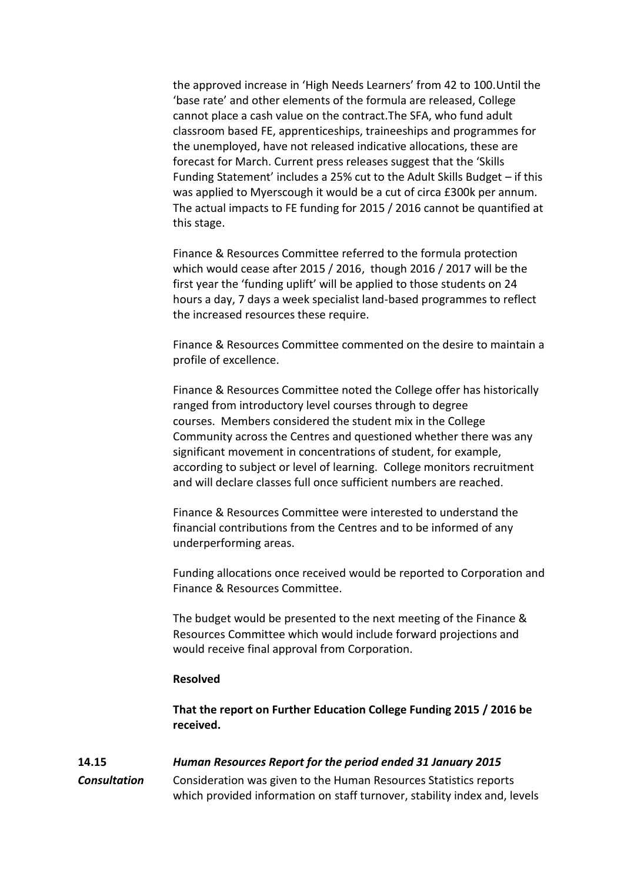the approved increase in 'High Needs Learners' from 42 to 100.Until the 'base rate' and other elements of the formula are released, College cannot place a cash value on the contract.The SFA, who fund adult classroom based FE, apprenticeships, traineeships and programmes for the unemployed, have not released indicative allocations, these are forecast for March. Current press releases suggest that the 'Skills Funding Statement' includes a 25% cut to the Adult Skills Budget – if this was applied to Myerscough it would be a cut of circa £300k per annum. The actual impacts to FE funding for 2015 / 2016 cannot be quantified at this stage.

Finance & Resources Committee referred to the formula protection which would cease after 2015 / 2016, though 2016 / 2017 will be the first year the 'funding uplift' will be applied to those students on 24 hours a day, 7 days a week specialist land-based programmes to reflect the increased resources these require.

Finance & Resources Committee commented on the desire to maintain a profile of excellence.

Finance & Resources Committee noted the College offer has historically ranged from introductory level courses through to degree courses. Members considered the student mix in the College Community across the Centres and questioned whether there was any significant movement in concentrations of student, for example, according to subject or level of learning. College monitors recruitment and will declare classes full once sufficient numbers are reached.

Finance & Resources Committee were interested to understand the financial contributions from the Centres and to be informed of any underperforming areas.

Funding allocations once received would be reported to Corporation and Finance & Resources Committee.

The budget would be presented to the next meeting of the Finance & Resources Committee which would include forward projections and would receive final approval from Corporation.

#### **Resolved**

**That the report on Further Education College Funding 2015 / 2016 be received.**

## **14.15** *Human Resources Report for the period ended 31 January 2015*

*Consultation* Consideration was given to the Human Resources Statistics reports which provided information on staff turnover, stability index and, levels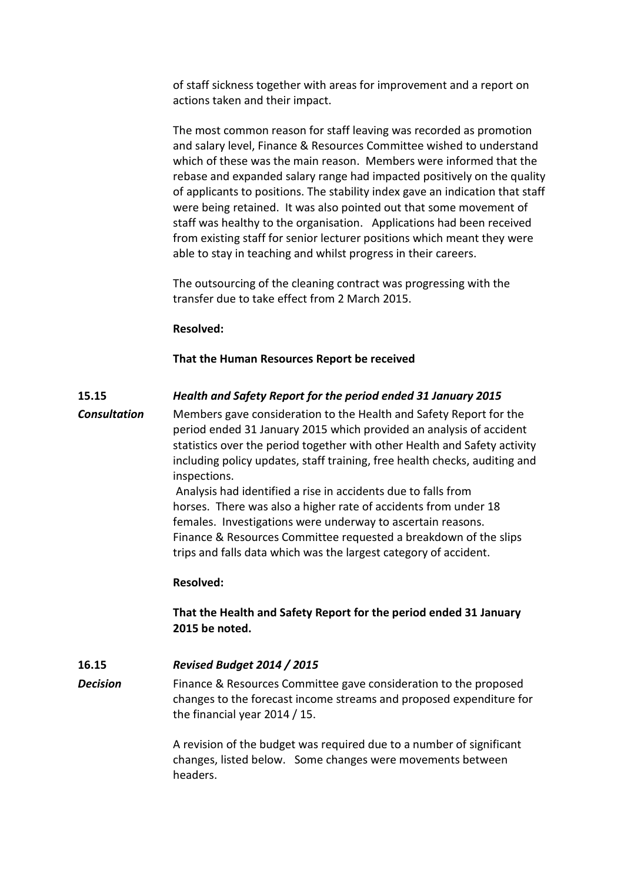of staff sickness together with areas for improvement and a report on actions taken and their impact.

The most common reason for staff leaving was recorded as promotion and salary level, Finance & Resources Committee wished to understand which of these was the main reason. Members were informed that the rebase and expanded salary range had impacted positively on the quality of applicants to positions. The stability index gave an indication that staff were being retained. It was also pointed out that some movement of staff was healthy to the organisation. Applications had been received from existing staff for senior lecturer positions which meant they were able to stay in teaching and whilst progress in their careers.

The outsourcing of the cleaning contract was progressing with the transfer due to take effect from 2 March 2015.

## **Resolved:**

## **That the Human Resources Report be received**

## **15.15** *Health and Safety Report for the period ended 31 January 2015*

*Consultation* Members gave consideration to the Health and Safety Report for the period ended 31 January 2015 which provided an analysis of accident statistics over the period together with other Health and Safety activity including policy updates, staff training, free health checks, auditing and inspections.

> Analysis had identified a rise in accidents due to falls from horses. There was also a higher rate of accidents from under 18 females. Investigations were underway to ascertain reasons. Finance & Resources Committee requested a breakdown of the slips trips and falls data which was the largest category of accident.

#### **Resolved:**

# **That the Health and Safety Report for the period ended 31 January 2015 be noted.**

#### **16.15** *Revised Budget 2014 / 2015*

**Decision** Finance & Resources Committee gave consideration to the proposed changes to the forecast income streams and proposed expenditure for the financial year 2014 / 15.

> A revision of the budget was required due to a number of significant changes, listed below. Some changes were movements between headers.